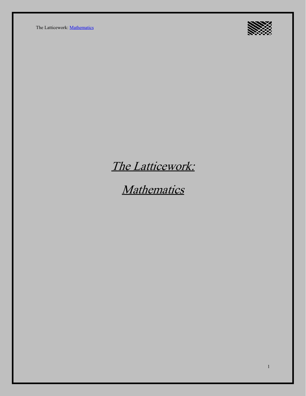The Latticework: [Mathematics](https://ltcwrk.com/mathematics/)



# The Latticework:

**Mathematics**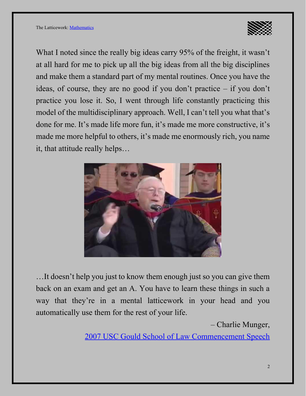

What I noted since the really big ideas carry 95% of the freight, it wasn't at all hard for me to pick up all the big ideas from all the big disciplines and make them a standard part of my mental routines. Once you have the ideas, of course, they are no good if you don't practice – if you don't practice you lose it. So, I went through life constantly practicing this model of the multidisciplinary approach. Well, I can't tell you what that's done for me. It's made life more fun, it's made me more constructive, it's made me more helpful to others, it's made me enormously rich, you name it, that attitude really helps…



…It doesn't help you just to know them enough just so you can give them back on an exam and get an A. You have to learn these things in such a way that they're in a mental latticework in your head and you automatically use them for the rest of your life.

– Charlie Munger,

[2007 USC Gould School of Law Commencement Speech](https://www.youtube.com/watch?v=5U0TE4oqj24)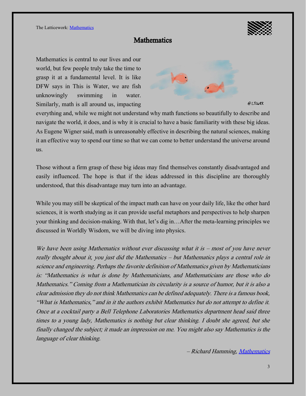

# **Mathematics**

Mathematics is central to our lives and our world, but few people truly take the time to grasp it at a fundamental level. It is like DFW says in This is Water, we are fish unknowingly swimming in water. Similarly, math is all around us, impacting



@LTCWRK

everything and, while we might not understand why math functions so beautifully to describe and navigate the world, it does, and is why it is crucial to have a basic familiarity with these big ideas. As Eugene Wigner said, math is unreasonably effective in describing the natural sciences, making it an effective way to spend our time so that we can come to better understand the universe around us.

Those without a firm grasp of these big ideas may find themselves constantly disadvantaged and easily influenced. The hope is that if the ideas addressed in this discipline are thoroughly understood, that this disadvantage may turn into an advantage.

While you may still be skeptical of the impact math can have on your daily life, like the other hard sciences, it is worth studying as it can provide useful metaphors and perspectives to help sharpen your thinking and decision-making. With that, let's dig in…After the meta-learning principles we discussed in Worldly Wisdom, we will be diving into physics.

We have been using Mathematics without ever discussing what it is – most of you have never really thought about it, you just did the Mathematics – but Mathematics plays a central role in science and engineering. Perhaps the favorite definition of Mathematics given by Mathematicians is: "Mathematics is what is done by Mathematicians, and Mathematicians are those who do Mathematics." Coming from a Mathematician its circularity is a source of humor, but it is also a clear admission they do not think Mathematics can be defined adequately. There is a famous book, "What is Mathematics," and in it the authors exhibit Mathematics but do not attempt to define it. Once at a cocktail party a Bell Telephone Laboratories Mathematics department head said three times to a young lady, Mathematics is nothing but clear thinking. I doubt she agreed, but she finally changed the subject; it made an impression on me. You might also say Mathematics is the language of clear thinking.

– Richard Hamming, <u>Mathematics</u>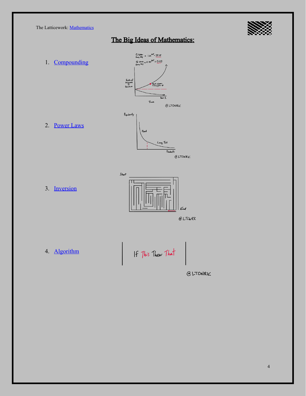The Latticework: [Mathematics](https://ltcwrk.com/mathematics/)



# The Big Ideas of Mathematics:

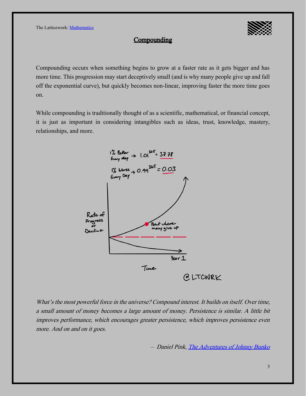

### **Compounding**

Compounding occurs when something begins to grow at a faster rate as it gets bigger and has more time. This progression may start deceptively small (and is why many people give up and fall off the exponential curve), but quickly becomes non-linear, improving faster the more time goes on.

While compounding is traditionally thought of as a scientific, mathematical, or financial concept, it is just as important in considering intangibles such as ideas, trust, knowledge, mastery, relationships, and more.



What's the most powerful force in the universe? Compound interest. It builds on itself. Over time, a small amount of money becomes a large amount of money. Persistence is similar. A little bit improves performance, which encourages greater persistence, which improves persistence even more. And on and on it goes.

– Daniel Pink, [The Adventures of Johnny Bunko](https://amzn.to/3cfvThu)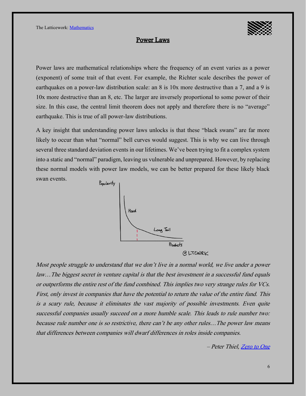

#### Power Laws

Power laws are mathematical relationships where the frequency of an event varies as a power (exponent) of some trait of that event. For example, the Richter scale describes the power of earthquakes on a power-law distribution scale: an 8 is 10x more destructive than a 7, and a 9 is 10x more destructive than an 8, etc. The larger are inversely proportional to some power of their size. In this case, the central limit theorem does not apply and therefore there is no "average" earthquake. This is true of all power-law distributions.

A key insight that understanding power laws unlocks is that these "black swans" are far more likely to occur than what "normal" bell curves would suggest. This is why we can live through several three standard deviation events in our lifetimes. We've been trying to fit a complex system into a static and "normal" paradigm, leaving us vulnerable and unprepared. However, by replacing these normal models with power law models, we can be better prepared for these likely black swan events.



Most people struggle to understand that we don't live in a normal world, we live under a power law…The biggest secret in venture capital is that the best investment in a successful fund equals or outperforms the entire rest of the fund combined. This implies two very strange rules for VCs. First, only invest in companies that have the potential to return the value of the entire fund. This is a scary rule, because it eliminates the vast majority of possible investments. Even quite successful companies usually succeed on a more humble scale. This leads to rule number two: because rule number one is so restrictive, there can't be any other rules…The power law means that differences between companies will dwarf differences in roles inside companies.

–Peter Thiel, [Zero to One](https://blas.com/0-to-1/)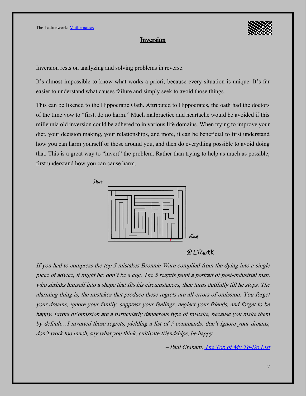#### Inversion

Inversion rests on analyzing and solving problems in reverse.

It's almost impossible to know what works a priori, because every situation is unique. It's far easier to understand what causes failure and simply seek to avoid those things.

This can be likened to the Hippocratic Oath. Attributed to Hippocrates, the oath had the doctors of the time vow to "first, do no harm." Much malpractice and heartache would be avoided if this millennia old inversion could be adhered to in various life domains. When trying to improve your diet, your decision making, your relationships, and more, it can be beneficial to first understand how you can harm yourself or those around you, and then do everything possible to avoid doing that. This is a great way to "invert" the problem. Rather than trying to help as much as possible, first understand how you can cause harm.



# @LTCWRK

If you had to compress the top 5 mistakes Bronnie Ware compiled from the dying into a single piece of advice, it might be: don't be a cog. The 5 regrets paint a portrait of post-industrial man, who shrinks himself into a shape that fits his circumstances, then turns dutifully till he stops. The alarming thing is, the mistakes that produce these regrets are all errors of omission. You forget your dreams, ignore your family, suppress your feelings, neglect your friends, and forget to be happy. Errors of omission are a particularly dangerous type of mistake, because you make them by default…I inverted these regrets, yielding a list of 5 commands: don't ignore your dreams, don't work too much, say what you think, cultivate friendships, be happy.

–Paul Graham, [The Top of My To-Do List](http://paulgraham.com/todo.html)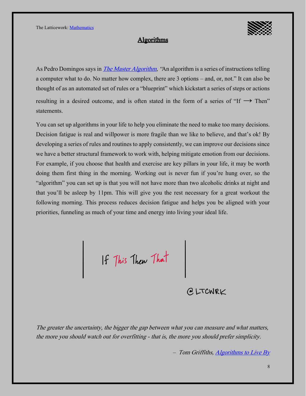#### **Algorithms**

As Pedro Domingos says in *The Master Algorithm*, "An algorithm is a series of instructions telling a computer what to do. No matter how complex, there are 3 options –and, or, not." It can also be thought of as an automated set of rules or a "blueprint" which kickstart a series of steps or actions resulting in a desired outcome, and is often stated in the form of a series of "If  $\rightarrow$  Then" statements.

You can set up algorithms in your life to help you eliminate the need to make too many decisions. Decision fatigue is real and willpower is more fragile than we like to believe, and that's ok! By developing a series of rules and routines to apply consistently, we can improve our decisions since we have a better structural framework to work with, helping mitigate emotion from our decisions. For example, if you choose that health and exercise are key pillars in your life, it may be worth doing them first thing in the morning. Working out is never fun if you're hung over, so the "algorithm" you can set up is that you will not have more than two alcoholic drinks at night and that you'll be asleep by 11pm. This will give you the rest necessary for a great workout the following morning. This process reduces decision fatigue and helps you be aligned with your priorities, funneling as much of your time and energy into living your ideal life.

If This Then That

@LTCWRK

The greater the uncertainty, the bigger the gap between what you can measure and what matters, the more you should watch out for overfitting - that is, the more you should prefer simplicity.

– Tom Griffiths, [Algorithms to Live By](http://blas.com/algorithms-to-live-by/)